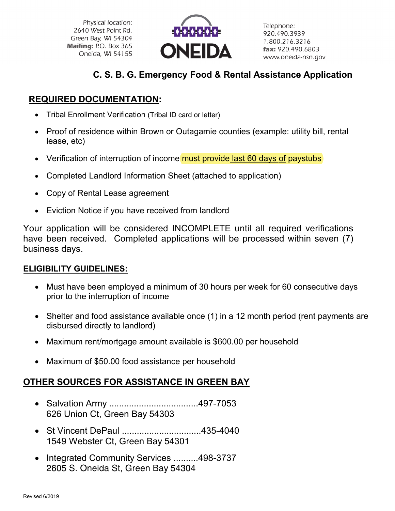Physical location: 2640 West Point Rd. Green Bay, WI 54304 Mailing: P.O. Box 365 Oneida, WI 54155



Telephone: 920.490.3939 1.800.216.3216 fax: 920.490.6803 www.oneida-nsn.gov

### **C. S. B. G. Emergency Food & Rental Assistance Application**

### **REQUIRED DOCUMENTATION:**

- Tribal Enrollment Verification (Tribal ID card or letter)
- Proof of residence within Brown or Outagamie counties (example: utility bill, rental lease, etc)
- Verification of interruption of income must provide last 60 days of paystubs
- Completed Landlord Information Sheet (attached to application)
- Copy of Rental Lease agreement
- Eviction Notice if you have received from landlord

Your application will be considered INCOMPLETE until all required verifications have been received. Completed applications will be processed within seven (7) business days.

#### **ELIGIBILITY GUIDELINES:**

- Must have been employed a minimum of 30 hours per week for 60 consecutive days prior to the interruption of income
- Shelter and food assistance available once (1) in a 12 month period (rent payments are disbursed directly to landlord)
- Maximum rent/mortgage amount available is \$600.00 per household
- Maximum of \$50.00 food assistance per household

#### **OTHER SOURCES FOR ASSISTANCE IN GREEN BAY**

- Salvation Army ....................................497-7053 626 Union Ct, Green Bay 54303
- St Vincent DePaul ................................435-4040 1549 Webster Ct, Green Bay 54301
- Integrated Community Services ..........498-3737 2605 S. Oneida St, Green Bay 54304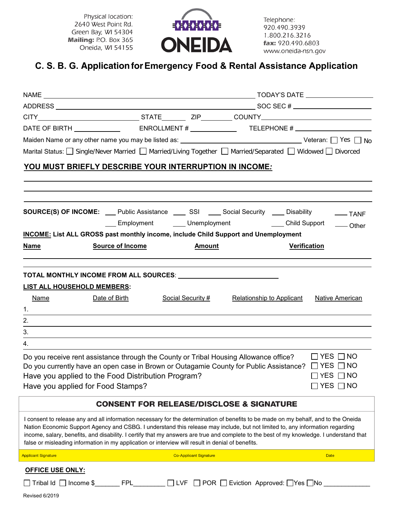Physical location: 2640 West Point Rd. Green Bay, WI 54304 Mailing: P.O. Box 365 Oneida, WI 54155



Telephone: 920.490.3939 1.800.216.3216 fax: 920.490.6803 www.oneida-nsn.gov

## **C. S. B. G. Application for Emergency Food & Rental Assistance Application**

|                                   | DATE OF BIRTH _______________  ENROLLMENT # ______________ TELEPHONE # ____________________________                                                                                                                                                                                                                                                                                                                                                                                                                   |                               |                                                            |                                              |
|-----------------------------------|-----------------------------------------------------------------------------------------------------------------------------------------------------------------------------------------------------------------------------------------------------------------------------------------------------------------------------------------------------------------------------------------------------------------------------------------------------------------------------------------------------------------------|-------------------------------|------------------------------------------------------------|----------------------------------------------|
|                                   |                                                                                                                                                                                                                                                                                                                                                                                                                                                                                                                       |                               |                                                            |                                              |
|                                   | Marital Status: Single/Never Married Married/Living Together Married/Separated Midowed Divorced                                                                                                                                                                                                                                                                                                                                                                                                                       |                               |                                                            |                                              |
|                                   | YOU MUST BRIEFLY DESCRIBE YOUR INTERRUPTION IN INCOME:                                                                                                                                                                                                                                                                                                                                                                                                                                                                |                               |                                                            |                                              |
|                                   |                                                                                                                                                                                                                                                                                                                                                                                                                                                                                                                       |                               |                                                            |                                              |
|                                   | <b>SOURCE(S) OF INCOME:</b> Public Assistance <b>_______ SSI</b> _____ Social Security _____ Disability                                                                                                                                                                                                                                                                                                                                                                                                               |                               | ___ Employment ______ Unemployment _________ Child Support | $\overline{\phantom{nn}}$ TANF<br>-Other     |
|                                   | <b>INCOME:</b> List ALL GROSS past monthly income, include Child Support and Unemployment                                                                                                                                                                                                                                                                                                                                                                                                                             |                               |                                                            |                                              |
| <b>Name</b>                       | <b>Source of Income</b>                                                                                                                                                                                                                                                                                                                                                                                                                                                                                               | <b>Amount</b>                 |                                                            | <b>Verification</b>                          |
|                                   |                                                                                                                                                                                                                                                                                                                                                                                                                                                                                                                       |                               |                                                            |                                              |
| LIST ALL HOUSEHOLD MEMBERS:       |                                                                                                                                                                                                                                                                                                                                                                                                                                                                                                                       |                               |                                                            |                                              |
| Name                              | Date of Birth                                                                                                                                                                                                                                                                                                                                                                                                                                                                                                         | Social Security #             | <b>Relationship to Applicant</b>                           | Native American                              |
| 1.                                |                                                                                                                                                                                                                                                                                                                                                                                                                                                                                                                       |                               |                                                            |                                              |
| 2.                                |                                                                                                                                                                                                                                                                                                                                                                                                                                                                                                                       |                               |                                                            |                                              |
| 3.                                |                                                                                                                                                                                                                                                                                                                                                                                                                                                                                                                       |                               |                                                            |                                              |
| 4.                                |                                                                                                                                                                                                                                                                                                                                                                                                                                                                                                                       |                               |                                                            |                                              |
| Have you applied for Food Stamps? | Do you receive rent assistance through the County or Tribal Housing Allowance office?<br>Do you currently have an open case in Brown or Outagamie County for Public Assistance? $\Box$ YES $\Box$ NO<br>Have you applied to the Food Distribution Program?                                                                                                                                                                                                                                                            |                               |                                                            | $\Box$ YES $\Box$ NO<br>$\Box$ YES $\Box$ NO |
|                                   |                                                                                                                                                                                                                                                                                                                                                                                                                                                                                                                       |                               | <b>CONSENT FOR RELEASE/DISCLOSE &amp; SIGNATURE</b>        |                                              |
|                                   | I consent to release any and all information necessary for the determination of benefits to be made on my behalf, and to the Oneida<br>Nation Economic Support Agency and CSBG. I understand this release may include, but not limited to, any information regarding<br>income, salary, benefits, and disability. I certify that my answers are true and complete to the best of my knowledge. I understand that<br>false or misleading information in my application or interview will result in denial of benefits. |                               |                                                            |                                              |
| <b>Applicant Signature</b>        |                                                                                                                                                                                                                                                                                                                                                                                                                                                                                                                       | <b>Co-Applicant Signature</b> |                                                            | <b>Date</b>                                  |
| <b>OFFICE USE ONLY:</b>           |                                                                                                                                                                                                                                                                                                                                                                                                                                                                                                                       |                               |                                                            |                                              |
|                                   | □ Tribal Id  □ Income \$_______ FPL________ □ LVF   □ POR  □ Eviction  Approved: □Yes □No _                                                                                                                                                                                                                                                                                                                                                                                                                           |                               |                                                            |                                              |
| Revised 6/2019                    |                                                                                                                                                                                                                                                                                                                                                                                                                                                                                                                       |                               |                                                            |                                              |